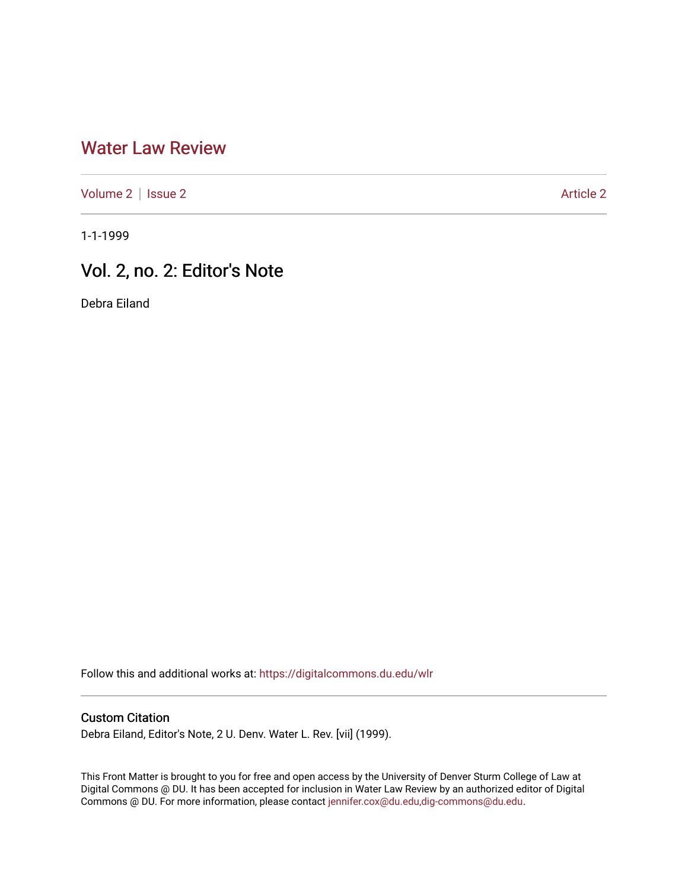## [Water Law Review](https://digitalcommons.du.edu/wlr)

[Volume 2](https://digitalcommons.du.edu/wlr/vol2) | [Issue 2](https://digitalcommons.du.edu/wlr/vol2/iss2) [Article 2](https://digitalcommons.du.edu/wlr/vol2/iss2/2) Article 2

1-1-1999

## Vol. 2, no. 2: Editor's Note

Debra Eiland

Follow this and additional works at: [https://digitalcommons.du.edu/wlr](https://digitalcommons.du.edu/wlr?utm_source=digitalcommons.du.edu%2Fwlr%2Fvol2%2Fiss2%2F2&utm_medium=PDF&utm_campaign=PDFCoverPages) 

## Custom Citation

Debra Eiland, Editor's Note, 2 U. Denv. Water L. Rev. [vii] (1999).

This Front Matter is brought to you for free and open access by the University of Denver Sturm College of Law at Digital Commons @ DU. It has been accepted for inclusion in Water Law Review by an authorized editor of Digital Commons @ DU. For more information, please contact [jennifer.cox@du.edu,dig-commons@du.edu.](mailto:jennifer.cox@du.edu,dig-commons@du.edu)